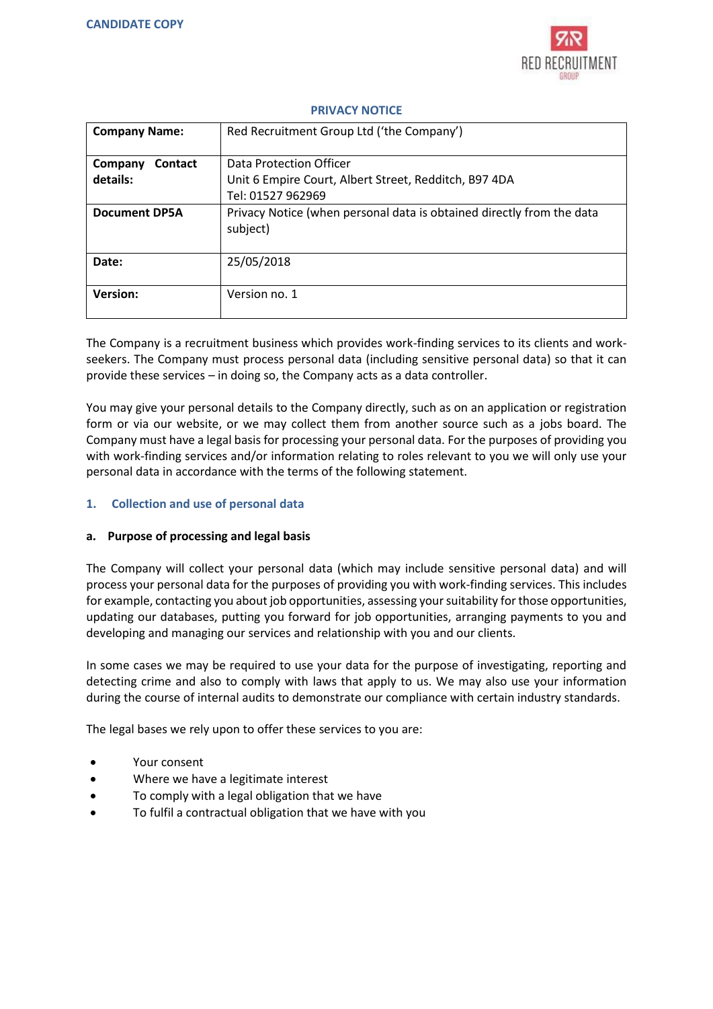

| <b>Company Name:</b>      | Red Recruitment Group Ltd ('the Company')                                         |
|---------------------------|-----------------------------------------------------------------------------------|
| <b>Contact</b><br>Company | Data Protection Officer                                                           |
| details:                  | Unit 6 Empire Court, Albert Street, Redditch, B97 4DA                             |
|                           | Tel: 01527 962969                                                                 |
| <b>Document DP5A</b>      | Privacy Notice (when personal data is obtained directly from the data<br>subject) |
| Date:                     | 25/05/2018                                                                        |
| <b>Version:</b>           | Version no. 1                                                                     |

## **PRIVACY NOTICE**

The Company is a recruitment business which provides work-finding services to its clients and workseekers. The Company must process personal data (including sensitive personal data) so that it can provide these services – in doing so, the Company acts as a data controller.

You may give your personal details to the Company directly, such as on an application or registration form or via our website, or we may collect them from another source such as a jobs board. The Company must have a legal basis for processing your personal data. For the purposes of providing you with work-finding services and/or information relating to roles relevant to you we will only use your personal data in accordance with the terms of the following statement.

# **1. Collection and use of personal data**

## **a. Purpose of processing and legal basis**

The Company will collect your personal data (which may include sensitive personal data) and will process your personal data for the purposes of providing you with work-finding services. This includes for example, contacting you about job opportunities, assessing your suitability for those opportunities, updating our databases, putting you forward for job opportunities, arranging payments to you and developing and managing our services and relationship with you and our clients.

In some cases we may be required to use your data for the purpose of investigating, reporting and detecting crime and also to comply with laws that apply to us. We may also use your information during the course of internal audits to demonstrate our compliance with certain industry standards.

The legal bases we rely upon to offer these services to you are:

- Your consent
- Where we have a legitimate interest
- To comply with a legal obligation that we have
- To fulfil a contractual obligation that we have with you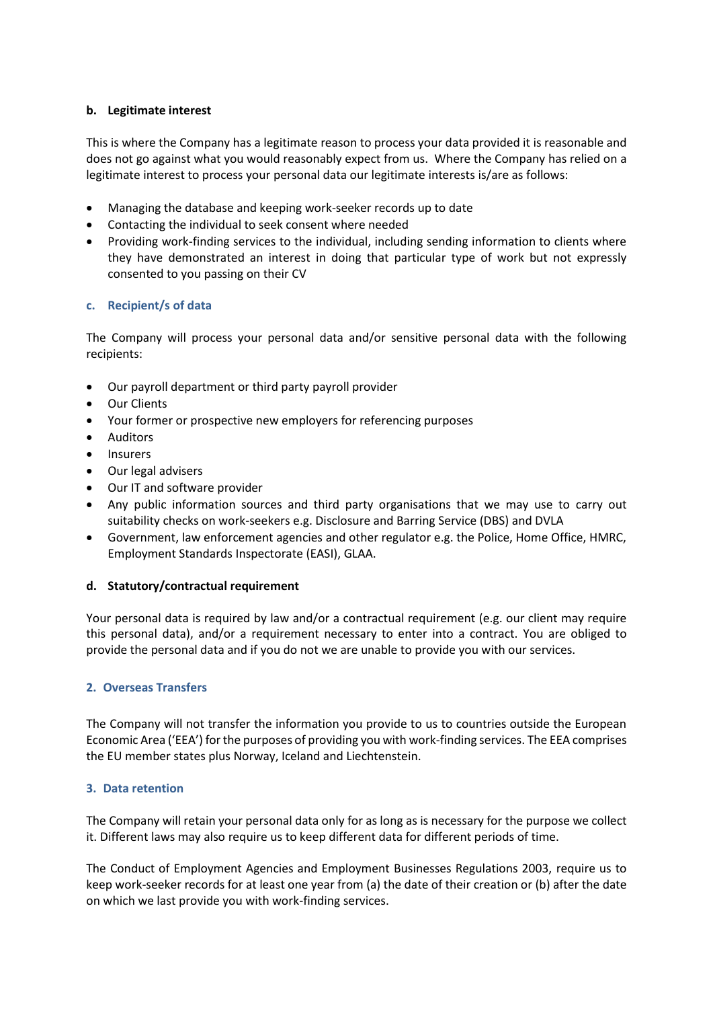## **b. Legitimate interest**

This is where the Company has a legitimate reason to process your data provided it is reasonable and does not go against what you would reasonably expect from us. Where the Company has relied on a legitimate interest to process your personal data our legitimate interests is/are as follows:

- Managing the database and keeping work-seeker records up to date
- Contacting the individual to seek consent where needed
- Providing work-finding services to the individual, including sending information to clients where they have demonstrated an interest in doing that particular type of work but not expressly consented to you passing on their CV

# **c. Recipient/s of data**

The Company will process your personal data and/or sensitive personal data with the following recipients:

- Our payroll department or third party payroll provider
- Our Clients
- Your former or prospective new employers for referencing purposes
- Auditors
- Insurers
- Our legal advisers
- Our IT and software provider
- Any public information sources and third party organisations that we may use to carry out suitability checks on work-seekers e.g. Disclosure and Barring Service (DBS) and DVLA
- Government, law enforcement agencies and other regulator e.g. the Police, Home Office, HMRC, Employment Standards Inspectorate (EASI), GLAA.

## **d. Statutory/contractual requirement**

Your personal data is required by law and/or a contractual requirement (e.g. our client may require this personal data), and/or a requirement necessary to enter into a contract. You are obliged to provide the personal data and if you do not we are unable to provide you with our services.

## **2. Overseas Transfers**

The Company will not transfer the information you provide to us to countries outside the European Economic Area ('EEA') for the purposes of providing you with work-finding services. The EEA comprises the EU member states plus Norway, Iceland and Liechtenstein.

## **3. Data retention**

The Company will retain your personal data only for as long as is necessary for the purpose we collect it. Different laws may also require us to keep different data for different periods of time.

The Conduct of Employment Agencies and Employment Businesses Regulations 2003, require us to keep work-seeker records for at least one year from (a) the date of their creation or (b) after the date on which we last provide you with work-finding services.